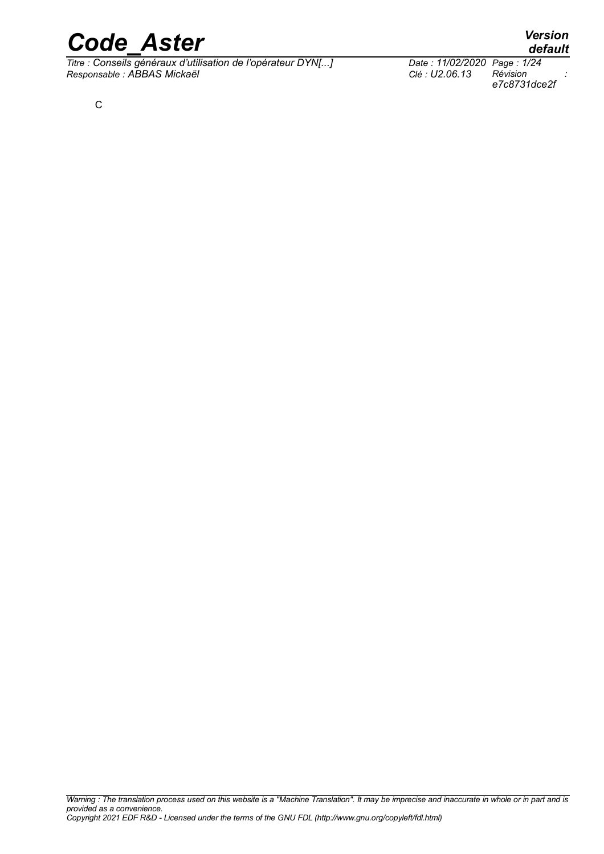*Titre : Conseils généraux d'utilisation de l'opérateur DYN[...] Date : 11/02/2020 Page : 1/24 Responsable : ABBAS Mickaël Clé : U2.06.13 Révision :*

*e7c8731dce2f*

## *default*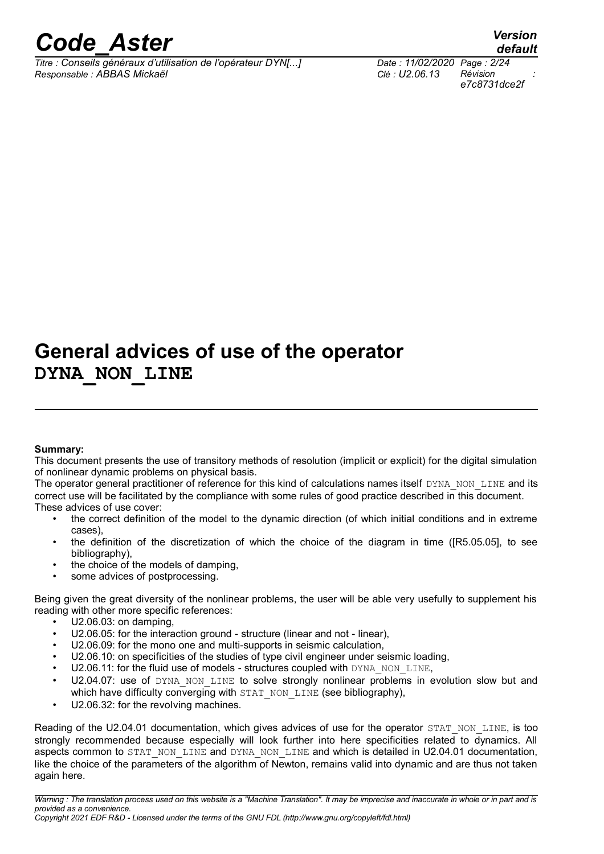*default*

### **General advices of use of the operator DYNA\_NON\_LINE**

#### **Summary:**

This document presents the use of transitory methods of resolution (implicit or explicit) for the digital simulation of nonlinear dynamic problems on physical basis.

The operator general practitioner of reference for this kind of calculations names itself DYNA\_NON\_LINE and its correct use will be facilitated by the compliance with some rules of good practice described in this document. These advices of use cover:

- the correct definition of the model to the dynamic direction (of which initial conditions and in extreme cases),
	- the definition of the discretization of which the choice of the diagram in time ([R5.05.05], to see bibliography),
	- the choice of the models of damping.
	- some advices of postprocessing.

Being given the great diversity of the nonlinear problems, the user will be able very usefully to supplement his reading with other more specific references:

- U2.06.03: on damping,
- U2.06.05: for the interaction ground structure (linear and not linear),
- U2.06.09: for the mono one and multi-supports in seismic calculation,
- U2.06.10: on specificities of the studies of type civil engineer under seismic loading,
- U2.06.11: for the fluid use of models structures coupled with DYNA\_NON\_LINE,
- U2.04.07: use of DYNA NON LINE to solve strongly nonlinear problems in evolution slow but and which have difficulty converging with STAT\_NON\_LINE (see bibliography),
- U2.06.32: for the revolving machines.

Reading of the U2.04.01 documentation, which gives advices of use for the operator STAT\_NON\_LINE, is too strongly recommended because especially will look further into here specificities related to dynamics. All aspects common to STAT\_NON\_LINE and DYNA\_NON\_LINE and which is detailed in U2.04.01 documentation, like the choice of the parameters of the algorithm of Newton, remains valid into dynamic and are thus not taken again here.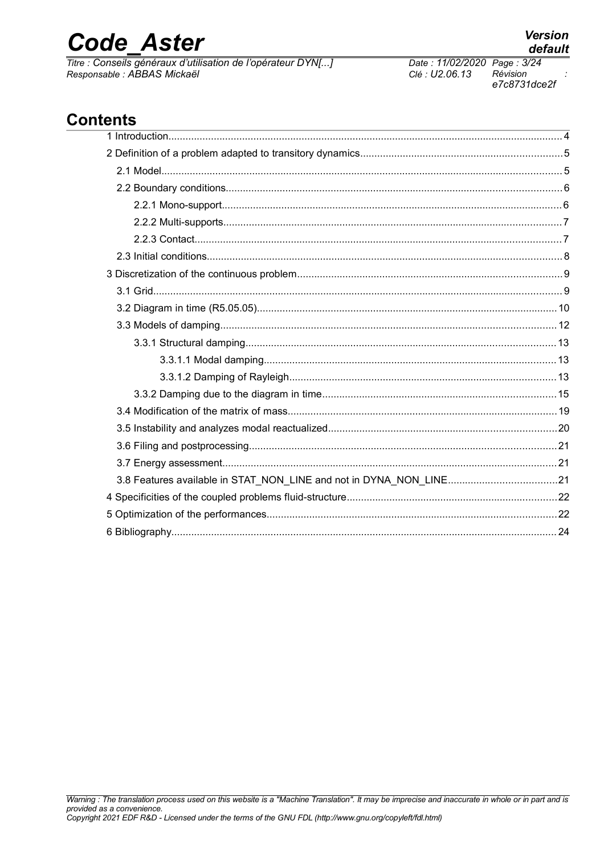# **Code Aster**

Titre : Conseils généraux d'utilisation de l'opérateur DYN[...] Responsable : ABBAS Mickaël

### **Contents**

provided as a convenience.

Warning : The translation process used on this website is a "Machine Translation". It may be imprecise and inaccurate in whole or in part and is

Copyright 2021 EDF R&D - Licensed under the terms of the GNU FDL (http://www.gnu.org/copyleft/fdl.html)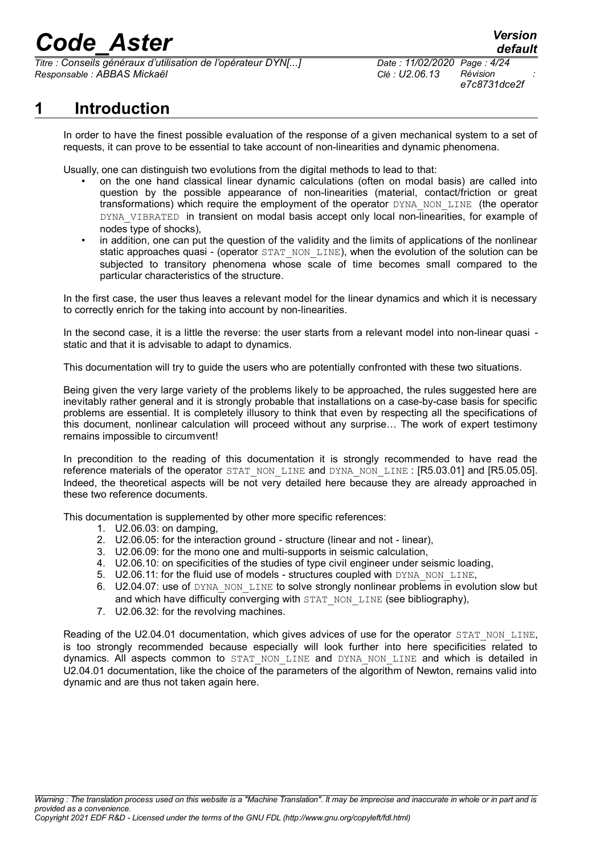*Titre : Conseils généraux d'utilisation de l'opérateur DYN[...] Date : 11/02/2020 Page : 4/24 Responsable : ABBAS Mickaël Clé : U2.06.13 Révision :*

*e7c8731dce2f*

### **1 Introduction**

In order to have the finest possible evaluation of the response of a given mechanical system to a set of requests, it can prove to be essential to take account of non-linearities and dynamic phenomena.

Usually, one can distinguish two evolutions from the digital methods to lead to that:

- on the one hand classical linear dynamic calculations (often on modal basis) are called into question by the possible appearance of non-linearities (material, contact/friction or great transformations) which require the employment of the operator DYNA\_NON\_LINE (the operator DYNA\_VIBRATED in transient on modal basis accept only local non-linearities, for example of nodes type of shocks),
- in addition, one can put the question of the validity and the limits of applications of the nonlinear static approaches quasi - (operator STAT\_NON\_LINE), when the evolution of the solution can be subjected to transitory phenomena whose scale of time becomes small compared to the particular characteristics of the structure.

In the first case, the user thus leaves a relevant model for the linear dynamics and which it is necessary to correctly enrich for the taking into account by non-linearities.

In the second case, it is a little the reverse: the user starts from a relevant model into non-linear quasi static and that it is advisable to adapt to dynamics.

This documentation will try to guide the users who are potentially confronted with these two situations.

Being given the very large variety of the problems likely to be approached, the rules suggested here are inevitably rather general and it is strongly probable that installations on a case-by-case basis for specific problems are essential. It is completely illusory to think that even by respecting all the specifications of this document, nonlinear calculation will proceed without any surprise… The work of expert testimony remains impossible to circumvent!

In precondition to the reading of this documentation it is strongly recommended to have read the reference materials of the operator STAT\_NON\_LINE and DYNA\_NON\_LINE : [R5.03.01] and [R5.05.05]. Indeed, the theoretical aspects will be not very detailed here because they are already approached in these two reference documents.

This documentation is supplemented by other more specific references:

- 1. U2.06.03: on damping,
- 2. U2.06.05: for the interaction ground structure (linear and not linear),
- 3. U2.06.09: for the mono one and multi-supports in seismic calculation,
- 4. U2.06.10: on specificities of the studies of type civil engineer under seismic loading,
- 5. U2.06.11: for the fluid use of models structures coupled with DYNA\_NON\_LINE,
- 6. U2.04.07: use of DYNA\_NON\_LINE to solve strongly nonlinear problems in evolution slow but and which have difficulty converging with STAT\_NON\_LINE (see bibliography),
- 7. U2.06.32: for the revolving machines.

Reading of the U2.04.01 documentation, which gives advices of use for the operator STAT\_NON\_LINE, is too strongly recommended because especially will look further into here specificities related to dynamics. All aspects common to STAT NON LINE and DYNA NON LINE and which is detailed in U2.04.01 documentation, like the choice of the parameters of the algorithm of Newton, remains valid into dynamic and are thus not taken again here.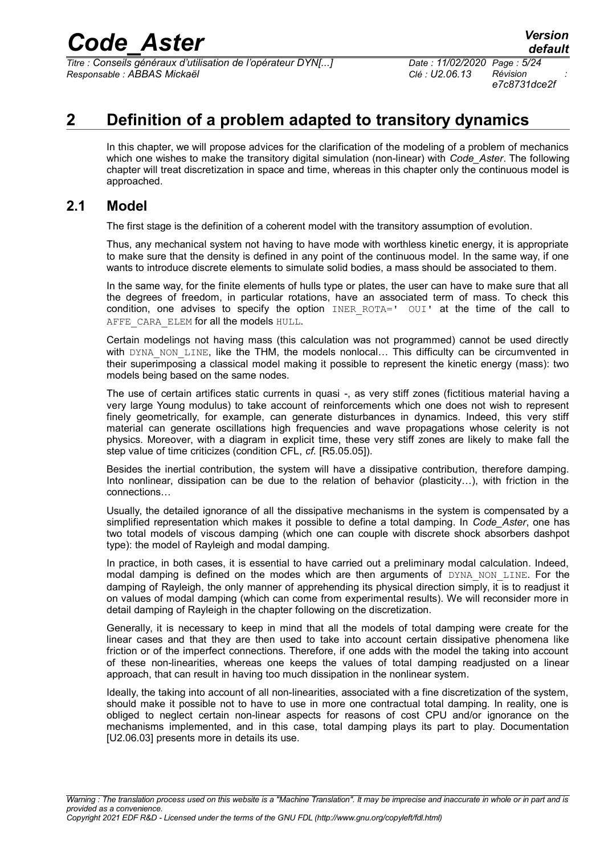*Titre : Conseils généraux d'utilisation de l'opérateur DYN[...] Date : 11/02/2020 Page : 5/24 Responsable : ABBAS Mickaël Clé : U2.06.13 Révision :*

*e7c8731dce2f*

### **2 Definition of a problem adapted to transitory dynamics**

In this chapter, we will propose advices for the clarification of the modeling of a problem of mechanics which one wishes to make the transitory digital simulation (non-linear) with *Code\_Aster*. The following chapter will treat discretization in space and time, whereas in this chapter only the continuous model is approached.

#### **2.1 Model**

The first stage is the definition of a coherent model with the transitory assumption of evolution.

Thus, any mechanical system not having to have mode with worthless kinetic energy, it is appropriate to make sure that the density is defined in any point of the continuous model. In the same way, if one wants to introduce discrete elements to simulate solid bodies, a mass should be associated to them.

In the same way, for the finite elements of hulls type or plates, the user can have to make sure that all the degrees of freedom, in particular rotations, have an associated term of mass. To check this condition, one advises to specify the option  $INER$   $ROTA='$   $OUI'$  at the time of the call to AFFE CARA ELEM for all the models HULL.

Certain modelings not having mass (this calculation was not programmed) cannot be used directly with DYNA NON LINE, like the THM, the models nonlocal... This difficulty can be circumvented in their superimposing a classical model making it possible to represent the kinetic energy (mass): two models being based on the same nodes.

The use of certain artifices static currents in quasi -, as very stiff zones (fictitious material having a very large Young modulus) to take account of reinforcements which one does not wish to represent finely geometrically, for example, can generate disturbances in dynamics. Indeed, this very stiff material can generate oscillations high frequencies and wave propagations whose celerity is not physics. Moreover, with a diagram in explicit time, these very stiff zones are likely to make fall the step value of time criticizes (condition CFL, *cf.* [R5.05.05]).

Besides the inertial contribution, the system will have a dissipative contribution, therefore damping. Into nonlinear, dissipation can be due to the relation of behavior (plasticity…), with friction in the connections…

Usually, the detailed ignorance of all the dissipative mechanisms in the system is compensated by a simplified representation which makes it possible to define a total damping. In *Code\_Aster*, one has two total models of viscous damping (which one can couple with discrete shock absorbers dashpot type): the model of Rayleigh and modal damping.

In practice, in both cases, it is essential to have carried out a preliminary modal calculation. Indeed, modal damping is defined on the modes which are then arguments of DYNA NON LINE. For the damping of Rayleigh, the only manner of apprehending its physical direction simply, it is to readjust it on values of modal damping (which can come from experimental results). We will reconsider more in detail damping of Rayleigh in the chapter following on the discretization.

Generally, it is necessary to keep in mind that all the models of total damping were create for the linear cases and that they are then used to take into account certain dissipative phenomena like friction or of the imperfect connections. Therefore, if one adds with the model the taking into account of these non-linearities, whereas one keeps the values of total damping readjusted on a linear approach, that can result in having too much dissipation in the nonlinear system.

Ideally, the taking into account of all non-linearities, associated with a fine discretization of the system, should make it possible not to have to use in more one contractual total damping. In reality, one is obliged to neglect certain non-linear aspects for reasons of cost CPU and/or ignorance on the mechanisms implemented, and in this case, total damping plays its part to play. Documentation [U2.06.03] presents more in details its use.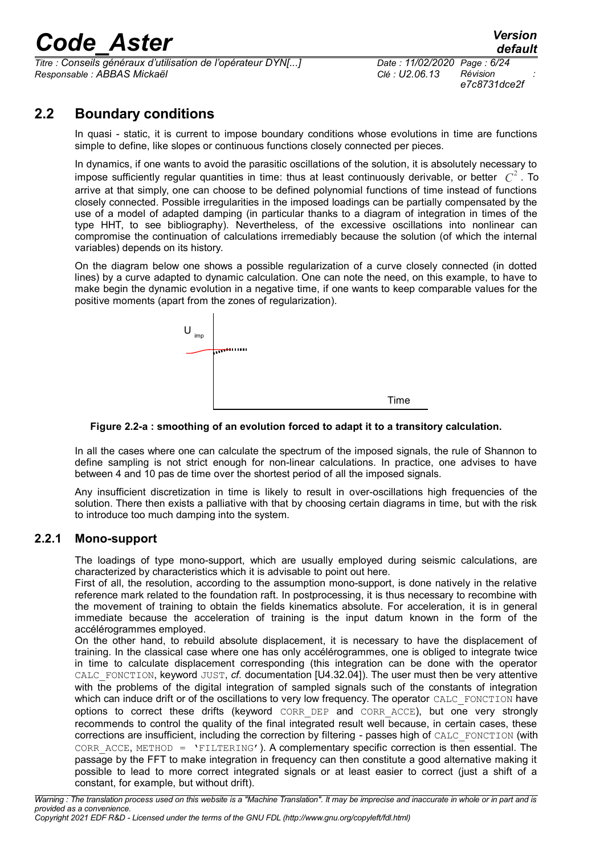*Titre : Conseils généraux d'utilisation de l'opérateur DYN[...] Date : 11/02/2020 Page : 6/24 Responsable : ABBAS Mickaël Clé : U2.06.13 Révision :*

*e7c8731dce2f*

### **2.2 Boundary conditions**

In quasi - static, it is current to impose boundary conditions whose evolutions in time are functions simple to define, like slopes or continuous functions closely connected per pieces.

In dynamics, if one wants to avoid the parasitic oscillations of the solution, it is absolutely necessary to impose sufficiently regular quantities in time: thus at least continuously derivable, or better *C* 2 . To arrive at that simply, one can choose to be defined polynomial functions of time instead of functions closely connected. Possible irregularities in the imposed loadings can be partially compensated by the use of a model of adapted damping (in particular thanks to a diagram of integration in times of the type HHT, to see bibliography). Nevertheless, of the excessive oscillations into nonlinear can compromise the continuation of calculations irremediably because the solution (of which the internal variables) depends on its history.

On the diagram below one shows a possible regularization of a curve closely connected (in dotted lines) by a curve adapted to dynamic calculation. One can note the need, on this example, to have to make begin the dynamic evolution in a negative time, if one wants to keep comparable values for the positive moments (apart from the zones of regularization).



**Figure 2.2-a : smoothing of an evolution forced to adapt it to a transitory calculation.**

In all the cases where one can calculate the spectrum of the imposed signals, the rule of Shannon to define sampling is not strict enough for non-linear calculations. In practice, one advises to have between 4 and 10 pas de time over the shortest period of all the imposed signals.

Any insufficient discretization in time is likely to result in over-oscillations high frequencies of the solution. There then exists a palliative with that by choosing certain diagrams in time, but with the risk to introduce too much damping into the system.

#### **2.2.1 Mono-support**

The loadings of type mono-support, which are usually employed during seismic calculations, are characterized by characteristics which it is advisable to point out here.

First of all, the resolution, according to the assumption mono-support, is done natively in the relative reference mark related to the foundation raft. In postprocessing, it is thus necessary to recombine with the movement of training to obtain the fields kinematics absolute. For acceleration, it is in general immediate because the acceleration of training is the input datum known in the form of the accélérogrammes employed.

On the other hand, to rebuild absolute displacement, it is necessary to have the displacement of training. In the classical case where one has only accélérogrammes, one is obliged to integrate twice in time to calculate displacement corresponding (this integration can be done with the operator CALC\_FONCTION, keyword JUST, *cf.* documentation [U4.32.04]). The user must then be very attentive with the problems of the digital integration of sampled signals such of the constants of integration which can induce drift or of the oscillations to very low frequency. The operator CALC\_FONCTION have options to correct these drifts (keyword CORR\_DEP and CORR\_ACCE), but one very strongly recommends to control the quality of the final integrated result well because, in certain cases, these corrections are insufficient, including the correction by filtering - passes high of CALC\_FONCTION (with CORR ACCE, METHOD =  $'$ FILTERING'). A complementary specific correction is then essential. The passage by the FFT to make integration in frequency can then constitute a good alternative making it possible to lead to more correct integrated signals or at least easier to correct (just a shift of a constant, for example, but without drift).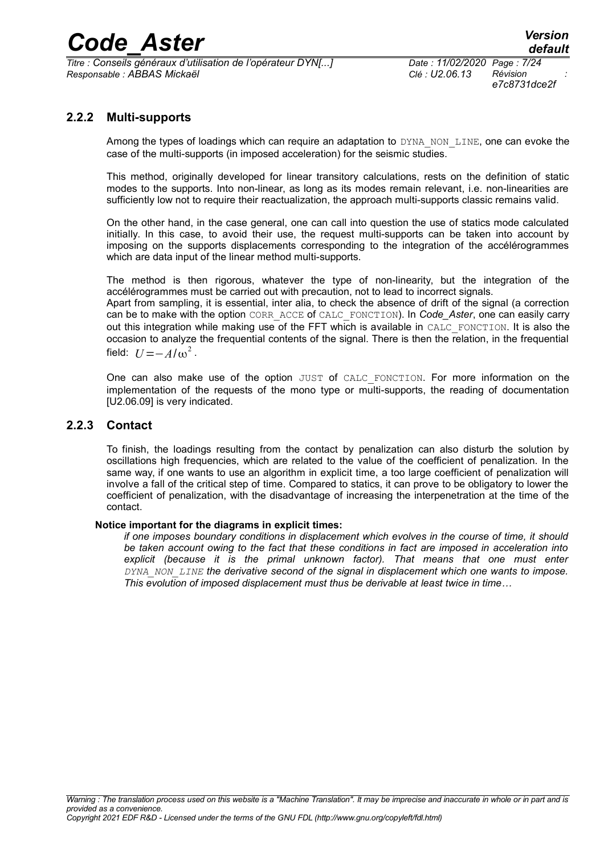$\overline{T}$ itre : Conseils généraux d'utilisation de l'opérateur DYN[...] *Responsable : ABBAS Mickaël Clé : U2.06.13 Révision :*

*e7c8731dce2f*

#### **2.2.2 Multi-supports**

Among the types of loadings which can require an adaptation to DYNA\_NON\_LINE, one can evoke the case of the multi-supports (in imposed acceleration) for the seismic studies.

This method, originally developed for linear transitory calculations, rests on the definition of static modes to the supports. Into non-linear, as long as its modes remain relevant, i.e. non-linearities are sufficiently low not to require their reactualization, the approach multi-supports classic remains valid.

On the other hand, in the case general, one can call into question the use of statics mode calculated initially. In this case, to avoid their use, the request multi-supports can be taken into account by imposing on the supports displacements corresponding to the integration of the accélérogrammes which are data input of the linear method multi-supports.

The method is then rigorous, whatever the type of non-linearity, but the integration of the accélérogrammes must be carried out with precaution, not to lead to incorrect signals. Apart from sampling, it is essential, inter alia, to check the absence of drift of the signal (a correction

can be to make with the option CORR\_ACCE of CALC\_FONCTION). In *Code\_Aster*, one can easily carry out this integration while making use of the FFT which is available in CALC\_FONCTION. It is also the occasion to analyze the frequential contents of the signal. There is then the relation, in the frequential field:  $U = -A/\omega^2$ .

One can also make use of the option JUST of CALC FONCTION. For more information on the implementation of the requests of the mono type or multi-supports, the reading of documentation [U2.06.09] is very indicated.

#### **2.2.3 Contact**

To finish, the loadings resulting from the contact by penalization can also disturb the solution by oscillations high frequencies, which are related to the value of the coefficient of penalization. In the same way, if one wants to use an algorithm in explicit time, a too large coefficient of penalization will involve a fall of the critical step of time. Compared to statics, it can prove to be obligatory to lower the coefficient of penalization, with the disadvantage of increasing the interpenetration at the time of the contact.

#### **Notice important for the diagrams in explicit times:**

*if one imposes boundary conditions in displacement which evolves in the course of time, it should be taken account owing to the fact that these conditions in fact are imposed in acceleration into explicit (because it is the primal unknown factor). That means that one must enter DYNA\_NON\_LINE the derivative second of the signal in displacement which one wants to impose. This evolution of imposed displacement must thus be derivable at least twice in time…*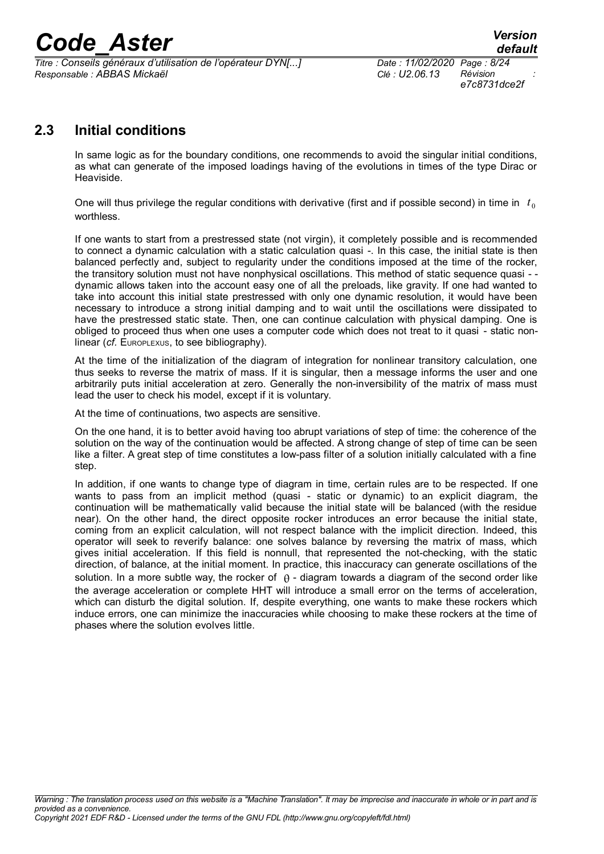*Titre : Conseils généraux d'utilisation de l'opérateur DYN[...] Date : 11/02/2020 Page : 8/24 Responsable : ABBAS Mickaël Clé : U2.06.13 Révision :*

*e7c8731dce2f*

#### **2.3 Initial conditions**

In same logic as for the boundary conditions, one recommends to avoid the singular initial conditions, as what can generate of the imposed loadings having of the evolutions in times of the type Dirac or Heaviside.

One will thus privilege the regular conditions with derivative (first and if possible second) in time in  $t_0$ worthless.

If one wants to start from a prestressed state (not virgin), it completely possible and is recommended to connect a dynamic calculation with a static calculation quasi -. In this case, the initial state is then balanced perfectly and, subject to regularity under the conditions imposed at the time of the rocker, the transitory solution must not have nonphysical oscillations. This method of static sequence quasi - dynamic allows taken into the account easy one of all the preloads, like gravity. If one had wanted to take into account this initial state prestressed with only one dynamic resolution, it would have been necessary to introduce a strong initial damping and to wait until the oscillations were dissipated to have the prestressed static state. Then, one can continue calculation with physical damping. One is obliged to proceed thus when one uses a computer code which does not treat to it quasi - static nonlinear (*cf.* EUROPLEXUS, to see bibliography).

At the time of the initialization of the diagram of integration for nonlinear transitory calculation, one thus seeks to reverse the matrix of mass. If it is singular, then a message informs the user and one arbitrarily puts initial acceleration at zero. Generally the non-inversibility of the matrix of mass must lead the user to check his model, except if it is voluntary.

At the time of continuations, two aspects are sensitive.

On the one hand, it is to better avoid having too abrupt variations of step of time: the coherence of the solution on the way of the continuation would be affected. A strong change of step of time can be seen like a filter. A great step of time constitutes a low-pass filter of a solution initially calculated with a fine step.

In addition, if one wants to change type of diagram in time, certain rules are to be respected. If one wants to pass from an implicit method (quasi - static or dynamic) to an explicit diagram, the continuation will be mathematically valid because the initial state will be balanced (with the residue near). On the other hand, the direct opposite rocker introduces an error because the initial state, coming from an explicit calculation, will not respect balance with the implicit direction. Indeed, this operator will seek to reverify balance: one solves balance by reversing the matrix of mass, which gives initial acceleration. If this field is nonnull, that represented the not-checking, with the static direction, of balance, at the initial moment. In practice, this inaccuracy can generate oscillations of the solution. In a more subtle way, the rocker of  $\theta$  - diagram towards a diagram of the second order like the average acceleration or complete HHT will introduce a small error on the terms of acceleration, which can disturb the digital solution. If, despite everything, one wants to make these rockers which induce errors, one can minimize the inaccuracies while choosing to make these rockers at the time of phases where the solution evolves little.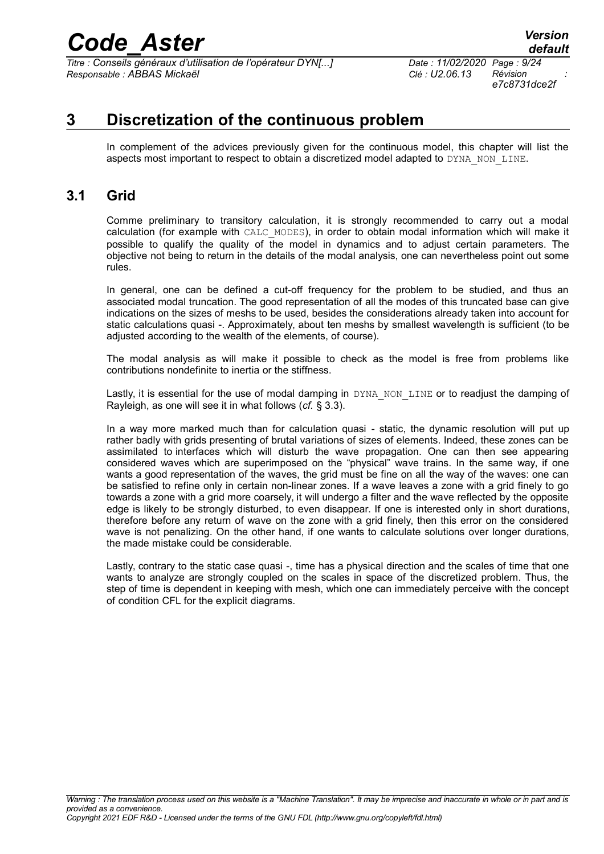*Titre : Conseils généraux d'utilisation de l'opérateur DYN[...] Date : 11/02/2020 Page : 9/24 Responsable : ABBAS Mickaël Clé : U2.06.13 Révision :*

### **3 Discretization of the continuous problem**

In complement of the advices previously given for the continuous model, this chapter will list the aspects most important to respect to obtain a discretized model adapted to DYNA\_NON\_LINE.

#### **3.1 Grid**

Comme preliminary to transitory calculation, it is strongly recommended to carry out a modal calculation (for example with CALC\_MODES), in order to obtain modal information which will make it possible to qualify the quality of the model in dynamics and to adjust certain parameters. The objective not being to return in the details of the modal analysis, one can nevertheless point out some rules.

In general, one can be defined a cut-off frequency for the problem to be studied, and thus an associated modal truncation. The good representation of all the modes of this truncated base can give indications on the sizes of meshs to be used, besides the considerations already taken into account for static calculations quasi -. Approximately, about ten meshs by smallest wavelength is sufficient (to be adjusted according to the wealth of the elements, of course).

The modal analysis as will make it possible to check as the model is free from problems like contributions nondefinite to inertia or the stiffness.

Lastly, it is essential for the use of modal damping in DYNA\_NON\_LINE or to readjust the damping of Rayleigh, as one will see it in what follows (*cf.* § [3.3\)](#page-11-0).

In a way more marked much than for calculation quasi - static, the dynamic resolution will put up rather badly with grids presenting of brutal variations of sizes of elements. Indeed, these zones can be assimilated to interfaces which will disturb the wave propagation. One can then see appearing considered waves which are superimposed on the "physical" wave trains. In the same way, if one wants a good representation of the waves, the grid must be fine on all the way of the waves: one can be satisfied to refine only in certain non-linear zones. If a wave leaves a zone with a grid finely to go towards a zone with a grid more coarsely, it will undergo a filter and the wave reflected by the opposite edge is likely to be strongly disturbed, to even disappear. If one is interested only in short durations, therefore before any return of wave on the zone with a grid finely, then this error on the considered wave is not penalizing. On the other hand, if one wants to calculate solutions over longer durations, the made mistake could be considerable.

Lastly, contrary to the static case quasi -, time has a physical direction and the scales of time that one wants to analyze are strongly coupled on the scales in space of the discretized problem. Thus, the step of time is dependent in keeping with mesh, which one can immediately perceive with the concept of condition CFL for the explicit diagrams.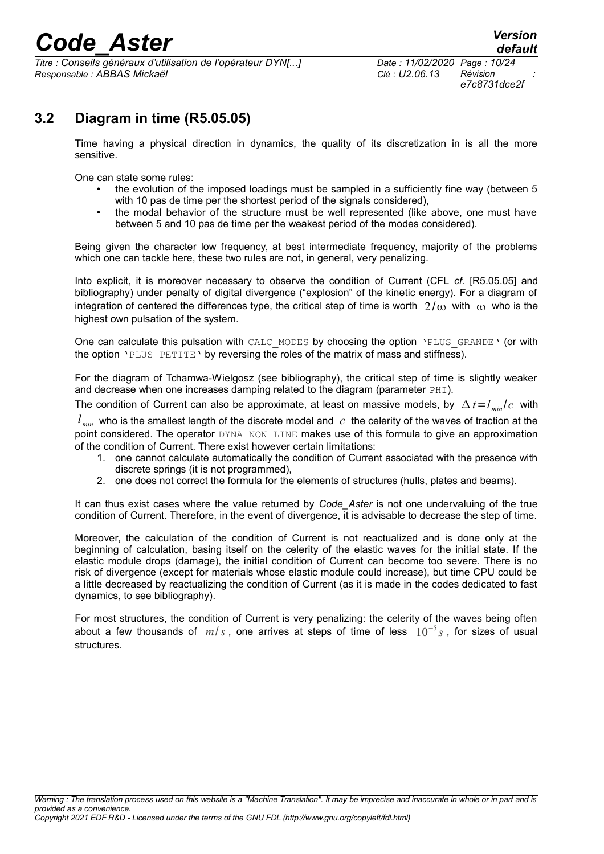$\overline{T}$ itre : Conseils généraux d'utilisation de l'opérateur DYN[...] *Responsable : ABBAS Mickaël Clé : U2.06.13 Révision :*

*e7c8731dce2f*

### **3.2 Diagram in time (R5.05.05)**

Time having a physical direction in dynamics, the quality of its discretization in is all the more sensitive.

One can state some rules:

- the evolution of the imposed loadings must be sampled in a sufficiently fine way (between 5 with 10 pas de time per the shortest period of the signals considered),
- the modal behavior of the structure must be well represented (like above, one must have between 5 and 10 pas de time per the weakest period of the modes considered).

Being given the character low frequency, at best intermediate frequency, majority of the problems which one can tackle here, these two rules are not, in general, very penalizing.

Into explicit, it is moreover necessary to observe the condition of Current (CFL *cf.* [R5.05.05] and bibliography) under penalty of digital divergence ("explosion" of the kinetic energy). For a diagram of integration of centered the differences type, the critical step of time is worth  $2/\omega$  with  $\omega$  who is the highest own pulsation of the system.

One can calculate this pulsation with CALC\_MODES by choosing the option 'PLUS\_GRANDE' (or with the option 'PLUS PETITE' by reversing the roles of the matrix of mass and stiffness).

For the diagram of Tchamwa-Wielgosz (see bibliography), the critical step of time is slightly weaker and decrease when one increases damping related to the diagram (parameter  $PHI$ ).

The condition of Current can also be approximate, at least on massive models, by  $\Delta t = l_{min}/c$  with

 $l_{min}$  who is the smallest length of the discrete model and  $c$  the celerity of the waves of traction at the point considered. The operator DYNA\_NON\_LINE makes use of this formula to give an approximation of the condition of Current. There exist however certain limitations:

- 1. one cannot calculate automatically the condition of Current associated with the presence with discrete springs (it is not programmed),
- 2. one does not correct the formula for the elements of structures (hulls, plates and beams).

It can thus exist cases where the value returned by *Code Aster* is not one undervaluing of the true condition of Current. Therefore, in the event of divergence, it is advisable to decrease the step of time.

Moreover, the calculation of the condition of Current is not reactualized and is done only at the beginning of calculation, basing itself on the celerity of the elastic waves for the initial state. If the elastic module drops (damage), the initial condition of Current can become too severe. There is no risk of divergence (except for materials whose elastic module could increase), but time CPU could be a little decreased by reactualizing the condition of Current (as it is made in the codes dedicated to fast dynamics, to see bibliography).

For most structures, the condition of Current is very penalizing: the celerity of the waves being often about a few thousands of *m*/*s* , one arrives at steps of time of less 10<sup>−</sup><sup>5</sup> *s* , for sizes of usual structures.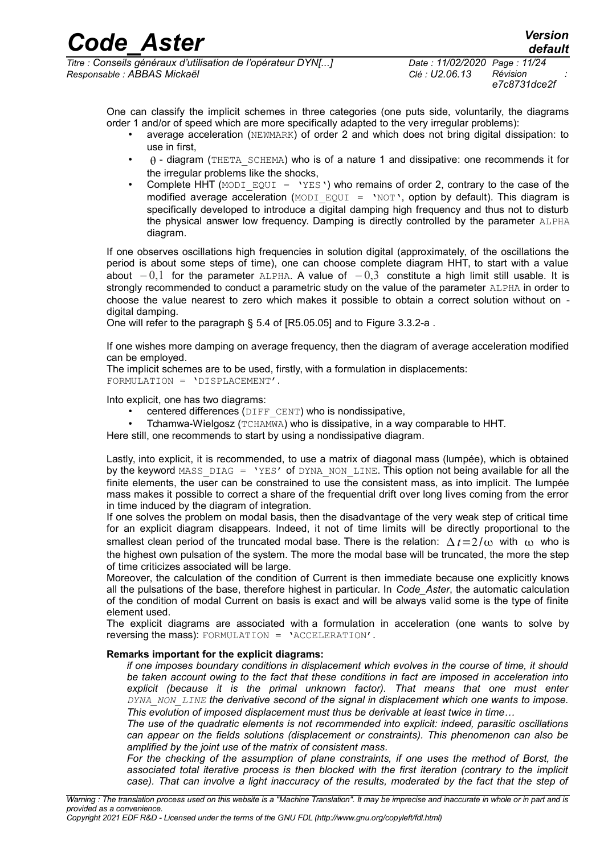One can classify the implicit schemes in three categories (one puts side, voluntarily, the diagrams order 1 and/or of speed which are more specifically adapted to the very irregular problems):

- average acceleration (NEWMARK) of order 2 and which does not bring digital dissipation: to use in first,
- $\theta$  diagram (THETA SCHEMA) who is of a nature 1 and dissipative: one recommends it for the irregular problems like the shocks,
- Complete HHT (MODI EQUI =  $YES'$ ) who remains of order 2, contrary to the case of the modified average acceleration (MODI EQUI = 'NOT', option by default). This diagram is specifically developed to introduce a digital damping high frequency and thus not to disturb the physical answer low frequency. Damping is directly controlled by the parameter ALPHA diagram.

If one observes oscillations high frequencies in solution digital (approximately, of the oscillations the period is about some steps of time), one can choose complete diagram HHT, to start with a value about *–* 0,1 for the parameter ALPHA. A value of *–* 0,3 constitute a high limit still usable. It is strongly recommended to conduct a parametric study on the value of the parameter ALPHA in order to choose the value nearest to zero which makes it possible to obtain a correct solution without on digital damping.

One will refer to the paragraph § 5.4 of [R5.05.05] and to [Figure 3.3.2-a](#page-15-0) .

If one wishes more damping on average frequency, then the diagram of average acceleration modified can be employed.

The implicit schemes are to be used, firstly, with a formulation in displacements: FORMULATION = 'DISPLACEMENT'.

Into explicit, one has two diagrams:

- centered differences ( $\text{DIFF}$  CENT) who is nondissipative,
- Tchamwa-Wielgosz (TCHAMWA) who is dissipative, in a way comparable to HHT.

Here still, one recommends to start by using a nondissipative diagram.

Lastly, into explicit, it is recommended, to use a matrix of diagonal mass (lumpée), which is obtained by the keyword MASS DIAG = 'YES' of DYNA NON LINE. This option not being available for all the finite elements, the user can be constrained to use the consistent mass, as into implicit. The lumpée mass makes it possible to correct a share of the frequential drift over long lives coming from the error in time induced by the diagram of integration.

If one solves the problem on modal basis, then the disadvantage of the very weak step of critical time for an explicit diagram disappears. Indeed, it not of time limits will be directly proportional to the smallest clean period of the truncated modal base. There is the relation:  $\Delta t = 2/\omega$  with  $\omega$  who is the highest own pulsation of the system. The more the modal base will be truncated, the more the step of time criticizes associated will be large.

Moreover, the calculation of the condition of Current is then immediate because one explicitly knows all the pulsations of the base, therefore highest in particular. In *Code\_Aster*, the automatic calculation of the condition of modal Current on basis is exact and will be always valid some is the type of finite element used.

The explicit diagrams are associated with a formulation in acceleration (one wants to solve by reversing the mass): FORMULATION = 'ACCELERATION'.

#### **Remarks important for the explicit diagrams:**

*if one imposes boundary conditions in displacement which evolves in the course of time, it should be taken account owing to the fact that these conditions in fact are imposed in acceleration into explicit (because it is the primal unknown factor). That means that one must enter DYNA\_NON\_LINE the derivative second of the signal in displacement which one wants to impose. This evolution of imposed displacement must thus be derivable at least twice in time…*

*The use of the quadratic elements is not recommended into explicit: indeed, parasitic oscillations can appear on the fields solutions (displacement or constraints). This phenomenon can also be amplified by the joint use of the matrix of consistent mass.*

*For the checking of the assumption of plane constraints, if one uses the method of Borst, the associated total iterative process is then blocked with the first iteration (contrary to the implicit case). That can involve a light inaccuracy of the results, moderated by the fact that the step of*

*Copyright 2021 EDF R&D - Licensed under the terms of the GNU FDL (http://www.gnu.org/copyleft/fdl.html)*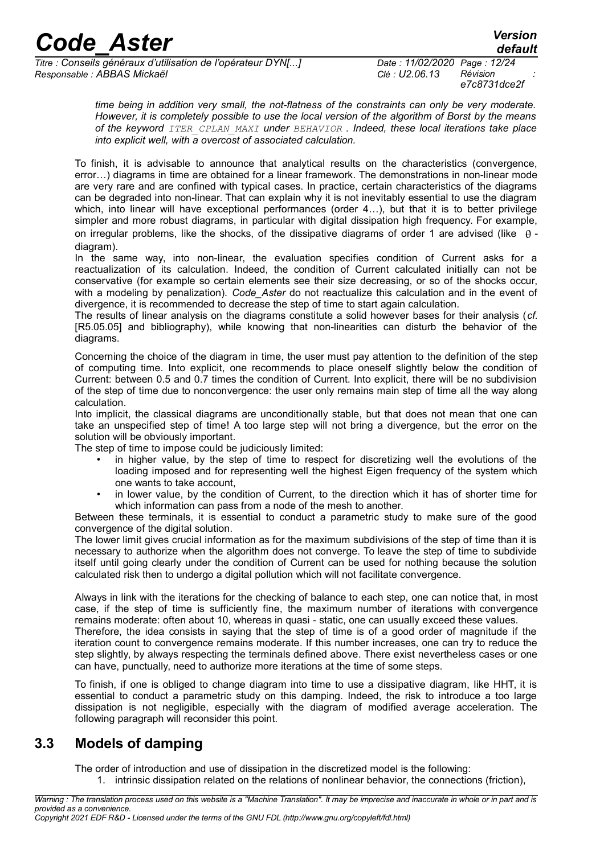*Titre : Conseils généraux d'utilisation de l'opérateur DYN[...] Date : 11/02/2020 Page : 12/24 Responsable : ABBAS Mickaël Clé : U2.06.13 Révision :*

*e7c8731dce2f*

*time being in addition very small, the not-flatness of the constraints can only be very moderate. However, it is completely possible to use the local version of the algorithm of Borst by the means of the keyword ITER\_CPLAN\_MAXI under BEHAVIOR . Indeed, these local iterations take place into explicit well, with a overcost of associated calculation.*

To finish, it is advisable to announce that analytical results on the characteristics (convergence, error…) diagrams in time are obtained for a linear framework. The demonstrations in non-linear mode are very rare and are confined with typical cases. In practice, certain characteristics of the diagrams can be degraded into non-linear. That can explain why it is not inevitably essential to use the diagram which, into linear will have exceptional performances (order 4…), but that it is to better privilege simpler and more robust diagrams, in particular with digital dissipation high frequency. For example, on irregular problems, like the shocks, of the dissipative diagrams of order 1 are advised (like  $\theta$  diagram).

In the same way, into non-linear, the evaluation specifies condition of Current asks for a reactualization of its calculation. Indeed, the condition of Current calculated initially can not be conservative (for example so certain elements see their size decreasing, or so of the shocks occur, with a modeling by penalization). *Code Aster* do not reactualize this calculation and in the event of divergence, it is recommended to decrease the step of time to start again calculation.

The results of linear analysis on the diagrams constitute a solid however bases for their analysis (*cf.* [R5.05.05] and bibliography), while knowing that non-linearities can disturb the behavior of the diagrams.

Concerning the choice of the diagram in time, the user must pay attention to the definition of the step of computing time. Into explicit, one recommends to place oneself slightly below the condition of Current: between 0.5 and 0.7 times the condition of Current. Into explicit, there will be no subdivision of the step of time due to nonconvergence: the user only remains main step of time all the way along calculation.

Into implicit, the classical diagrams are unconditionally stable, but that does not mean that one can take an unspecified step of time! A too large step will not bring a divergence, but the error on the solution will be obviously important.

The step of time to impose could be judiciously limited:

- in higher value, by the step of time to respect for discretizing well the evolutions of the loading imposed and for representing well the highest Eigen frequency of the system which one wants to take account,
- in lower value, by the condition of Current, to the direction which it has of shorter time for which information can pass from a node of the mesh to another.

Between these terminals, it is essential to conduct a parametric study to make sure of the good convergence of the digital solution.

The lower limit gives crucial information as for the maximum subdivisions of the step of time than it is necessary to authorize when the algorithm does not converge. To leave the step of time to subdivide itself until going clearly under the condition of Current can be used for nothing because the solution calculated risk then to undergo a digital pollution which will not facilitate convergence.

Always in link with the iterations for the checking of balance to each step, one can notice that, in most case, if the step of time is sufficiently fine, the maximum number of iterations with convergence remains moderate: often about 10, whereas in quasi - static, one can usually exceed these values.

Therefore, the idea consists in saying that the step of time is of a good order of magnitude if the iteration count to convergence remains moderate. If this number increases, one can try to reduce the step slightly, by always respecting the terminals defined above. There exist nevertheless cases or one can have, punctually, need to authorize more iterations at the time of some steps.

To finish, if one is obliged to change diagram into time to use a dissipative diagram, like HHT, it is essential to conduct a parametric study on this damping. Indeed, the risk to introduce a too large dissipation is not negligible, especially with the diagram of modified average acceleration. The following paragraph will reconsider this point.

#### **3.3 Models of damping**

<span id="page-11-0"></span>The order of introduction and use of dissipation in the discretized model is the following: 1. intrinsic dissipation related on the relations of nonlinear behavior, the connections (friction),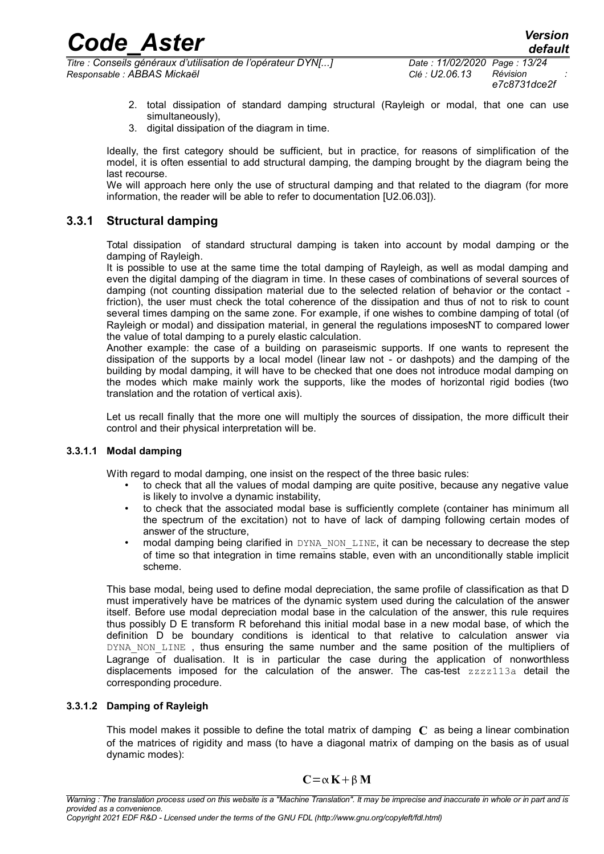*default*

- 2. total dissipation of standard damping structural (Rayleigh or modal, that one can use simultaneously),
- 3. digital dissipation of the diagram in time.

Ideally, the first category should be sufficient, but in practice, for reasons of simplification of the model, it is often essential to add structural damping, the damping brought by the diagram being the last recourse.

We will approach here only the use of structural damping and that related to the diagram (for more information, the reader will be able to refer to documentation [U2.06.03]).

#### **3.3.1 Structural damping**

Total dissipation of standard structural damping is taken into account by modal damping or the damping of Rayleigh.

It is possible to use at the same time the total damping of Rayleigh, as well as modal damping and even the digital damping of the diagram in time. In these cases of combinations of several sources of damping (not counting dissipation material due to the selected relation of behavior or the contact friction), the user must check the total coherence of the dissipation and thus of not to risk to count several times damping on the same zone. For example, if one wishes to combine damping of total (of Rayleigh or modal) and dissipation material, in general the regulations imposesNT to compared lower the value of total damping to a purely elastic calculation.

Another example: the case of a building on paraseismic supports. If one wants to represent the dissipation of the supports by a local model (linear law not - or dashpots) and the damping of the building by modal damping, it will have to be checked that one does not introduce modal damping on the modes which make mainly work the supports, like the modes of horizontal rigid bodies (two translation and the rotation of vertical axis).

Let us recall finally that the more one will multiply the sources of dissipation, the more difficult their control and their physical interpretation will be.

#### **3.3.1.1 Modal damping**

With regard to modal damping, one insist on the respect of the three basic rules:

- to check that all the values of modal damping are quite positive, because any negative value is likely to involve a dynamic instability,
- to check that the associated modal base is sufficiently complete (container has minimum all the spectrum of the excitation) not to have of lack of damping following certain modes of answer of the structure,
- modal damping being clarified in DYNA\_NON\_LINE, it can be necessary to decrease the step of time so that integration in time remains stable, even with an unconditionally stable implicit scheme.

This base modal, being used to define modal depreciation, the same profile of classification as that D must imperatively have be matrices of the dynamic system used during the calculation of the answer itself. Before use modal depreciation modal base in the calculation of the answer, this rule requires thus possibly D E transform R beforehand this initial modal base in a new modal base, of which the definition D be boundary conditions is identical to that relative to calculation answer via DYNA\_NON\_LINE, thus ensuring the same number and the same position of the multipliers of Lagrange of dualisation. It is in particular the case during the application of nonworthless displacements imposed for the calculation of the answer. The cas-test zzzz113a detail the corresponding procedure.

#### **3.3.1.2 Damping of Rayleigh**

This model makes it possible to define the total matrix of damping **C** as being a linear combination of the matrices of rigidity and mass (to have a diagonal matrix of damping on the basis as of usual dynamic modes):

$$
C\!=\!\alpha\,K\!+\!\beta\,M
$$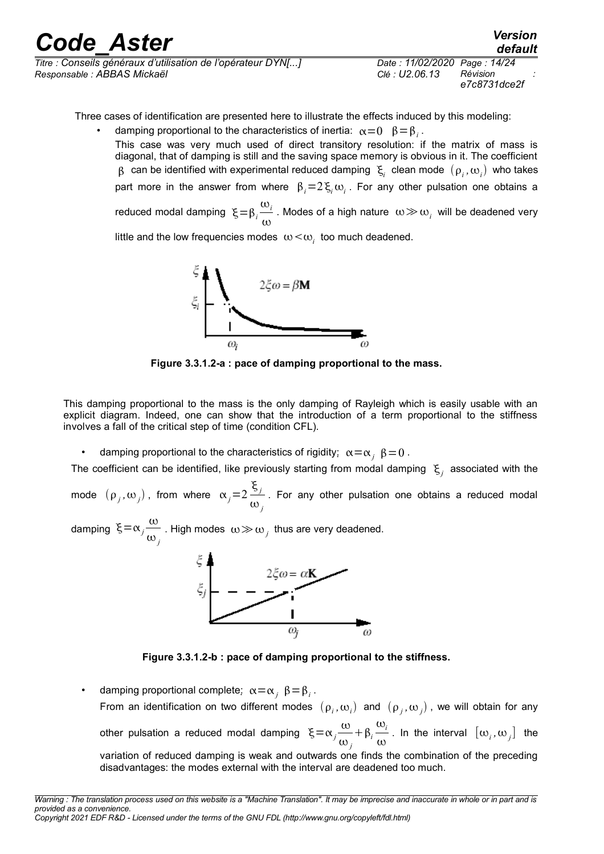| <b>Code Aster</b>                                            |                              | <b>Version</b><br>default |
|--------------------------------------------------------------|------------------------------|---------------------------|
| Titre : Conseils généraux d'utilisation de l'opérateur DYN[] | Date: 11/02/2020 Page: 14/24 | Révision                  |
| Responsable : ABBAS Mickaël                                  | Clé : U2.06.13               | e7c8731dce2f              |

Three cases of identification are presented here to illustrate the effects induced by this modeling:

• damping proportional to the characteristics of inertia:  $\alpha = 0$   $\beta = \beta_i$ . This case was very much used of direct transitory resolution: if the matrix of mass is diagonal, that of damping is still and the saving space memory is obvious in it. The coefficient  $\beta$  can be identified with experimental reduced damping  $\vert \xi_i \vert$  clean mode  $(\rho_i,\omega_i)$  who takes part more in the answer from where  $\beta_i=2\,\xi_i\,\omega_i$ . For any other pulsation one obtains a reduced modal damping  $\xi = \beta_i$  $\omega_i$  $\frac{\infty}{l}$ . Modes of a high nature  $ω$  ≫ ω<sub>*i*</sub> will be deadened very ω

little and the low frequencies modes  $\omega<\omega_i^+$  too much deadened.



**Figure 3.3.1.2-a : pace of damping proportional to the mass.**

This damping proportional to the mass is the only damping of Rayleigh which is easily usable with an explicit diagram. Indeed, one can show that the introduction of a term proportional to the stiffness involves a fall of the critical step of time (condition CFL).

damping proportional to the characteristics of rigidity:  $\alpha = \alpha$ ,  $\beta = 0$ .

The coefficient can be identified, like previously starting from modal damping  $\vert \xi_j \vert$  associated with the

mode  $(\rho_j, \omega_j)$ , from where  $\alpha_j = 2$  *j*  $\frac{y}{y}$ . For any other pulsation one obtains a reduced modal  $\omega_j$ 

damping  $\xi = \alpha_j \frac{\omega_j}{\omega_j}$  $\omega_j$ . High modes  $\omega \gg \omega_j$  thus are very deadened.



**Figure 3.3.1.2-b : pace of damping proportional to the stiffness.**

• damping proportional complete:  $\alpha = \alpha_j \beta = \beta_i$ . From an identification on two different modes  $(\rho_i,\omega_i)$  and  $(\rho_j,\omega_j)$ , we will obtain for any other pulsation a reduced modal damping  $\xi = \alpha_j \frac{\omega}{\omega}$  $\omega_j$  $+\beta_i$  $\omega_i$  $\frac{\partial}{\partial y}$ . In the interval  $[\omega_i, \omega_j]$  the variation of reduced damping is weak and outwards one finds the combination of the preceding disadvantages: the modes external with the interval are deadened too much.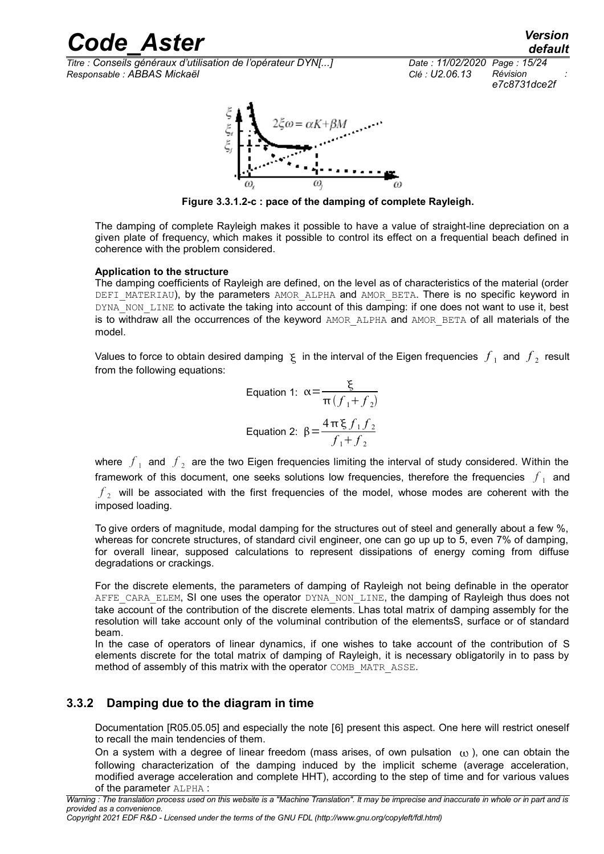*Titre : Conseils généraux d'utilisation de l'opérateur DYN[...] Date : 11/02/2020 Page : 15/24 Responsable : ABBAS Mickaël Clé : U2.06.13 Révision :*



**Figure 3.3.1.2-c : pace of the damping of complete Rayleigh.**

The damping of complete Rayleigh makes it possible to have a value of straight-line depreciation on a given plate of frequency, which makes it possible to control its effect on a frequential beach defined in coherence with the problem considered.

#### **Application to the structure**

The damping coefficients of Rayleigh are defined, on the level as of characteristics of the material (order DEFI\_MATERIAU), by the parameters AMOR\_ALPHA and AMOR\_BETA. There is no specific keyword in DYNA\_NON\_LINE to activate the taking into account of this damping: if one does not want to use it, best is to withdraw all the occurrences of the keyword AMOR ALPHA and AMOR BETA of all materials of the model.

Values to force to obtain desired damping  $\zeta$  in the interval of the Eigen frequencies  $\,\overline{f}_1\,$  and  $\,\overline{f}_2\,$  result from the following equations:

Equation 1: 
$$
\alpha = \frac{\xi}{\pi (f_1 + f_2)}
$$
  
Equation 2: 
$$
\beta = \frac{4\pi \xi f_1 f_2}{f_1 + f_2}
$$

where  $\ket{f}_1$  and  $\ket{f}_2$  are the two Eigen frequencies limiting the interval of study considered. Within the framework of this document, one seeks solutions low frequencies, therefore the frequencies  $|f_{\perp}|$  and  $f_{\rm 2}^{\,}$  will be associated with the first frequencies of the model, whose modes are coherent with the imposed loading.

To give orders of magnitude, modal damping for the structures out of steel and generally about a few %, whereas for concrete structures, of standard civil engineer, one can go up up to 5, even 7% of damping, for overall linear, supposed calculations to represent dissipations of energy coming from diffuse degradations or crackings.

For the discrete elements, the parameters of damping of Rayleigh not being definable in the operator AFFE\_CARA\_ELEM, SI one uses the operator DYNA\_NON\_LINE, the damping of Rayleigh thus does not take account of the contribution of the discrete elements. Lhas total matrix of damping assembly for the resolution will take account only of the voluminal contribution of the elementsS, surface or of standard beam.

In the case of operators of linear dynamics, if one wishes to take account of the contribution of S elements discrete for the total matrix of damping of Rayleigh, it is necessary obligatorily in to pass by method of assembly of this matrix with the operator COMB\_MATR\_ASSE.

#### **3.3.2 Damping due to the diagram in time**

<span id="page-14-0"></span>Documentation [R05.05.05] and especially the note [\[6\]](#page-23-0) present this aspect. One here will restrict oneself to recall the main tendencies of them.

On a system with a degree of linear freedom (mass arises, of own pulsation  $\omega$ ), one can obtain the following characterization of the damping induced by the implicit scheme (average acceleration, modified average acceleration and complete HHT), according to the step of time and for various values of the parameter ALPHA :

*Copyright 2021 EDF R&D - Licensed under the terms of the GNU FDL (http://www.gnu.org/copyleft/fdl.html)*

*e7c8731dce2f*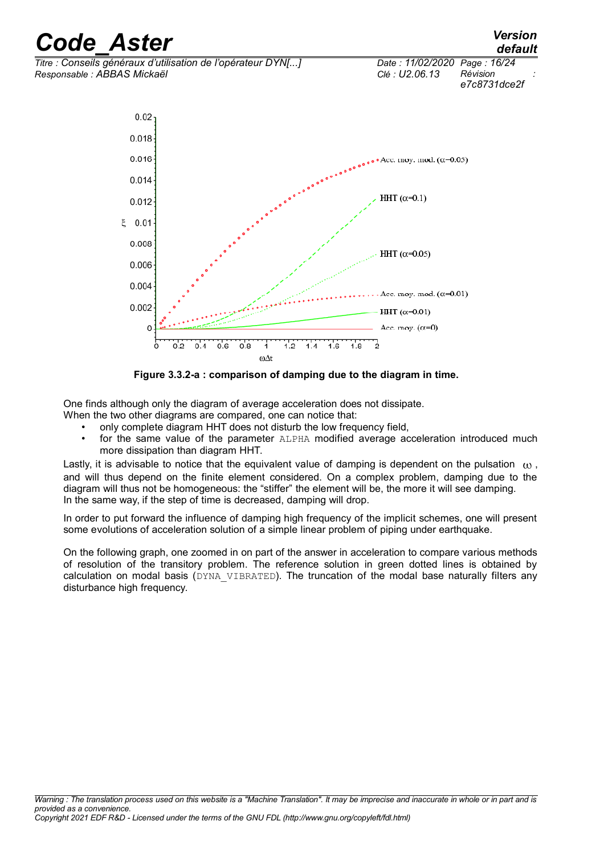

<span id="page-15-0"></span>**Figure 3.3.2-a : comparison of damping due to the diagram in time.**

One finds although only the diagram of average acceleration does not dissipate.

When the two other diagrams are compared, one can notice that:

- only complete diagram HHT does not disturb the low frequency field,
- for the same value of the parameter ALPHA modified average acceleration introduced much more dissipation than diagram HHT.

Lastly, it is advisable to notice that the equivalent value of damping is dependent on the pulsation  $\alpha$ , and will thus depend on the finite element considered. On a complex problem, damping due to the diagram will thus not be homogeneous: the "stiffer" the element will be, the more it will see damping. In the same way, if the step of time is decreased, damping will drop.

In order to put forward the influence of damping high frequency of the implicit schemes, one will present some evolutions of acceleration solution of a simple linear problem of piping under earthquake.

On the following graph, one zoomed in on part of the answer in acceleration to compare various methods of resolution of the transitory problem. The reference solution in green dotted lines is obtained by calculation on modal basis (DYNA\_VIBRATED). The truncation of the modal base naturally filters any disturbance high frequency.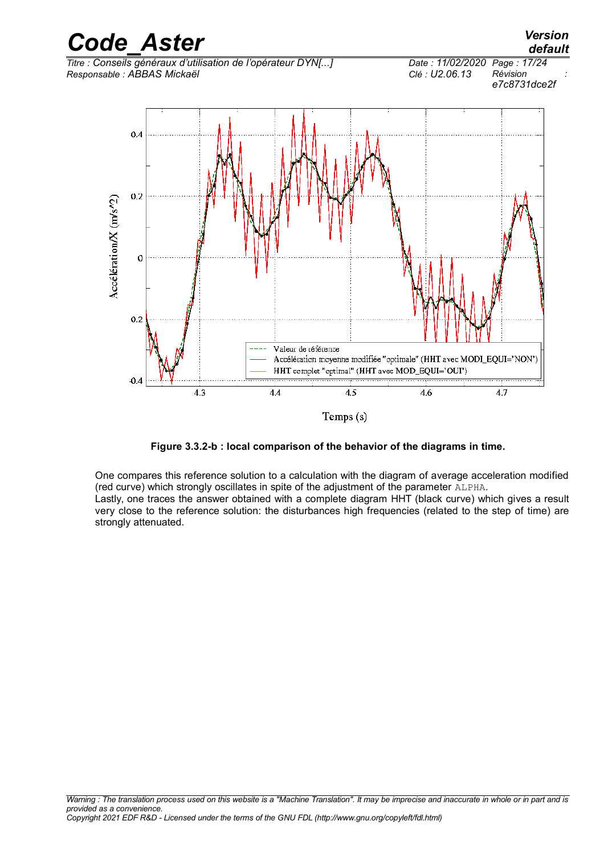

<span id="page-16-0"></span>**Figure 3.3.2-b : local comparison of the behavior of the diagrams in time.**

One compares this reference solution to a calculation with the diagram of average acceleration modified (red curve) which strongly oscillates in spite of the adjustment of the parameter ALPHA. Lastly, one traces the answer obtained with a complete diagram HHT (black curve) which gives a result very close to the reference solution: the disturbances high frequencies (related to the step of time) are strongly attenuated.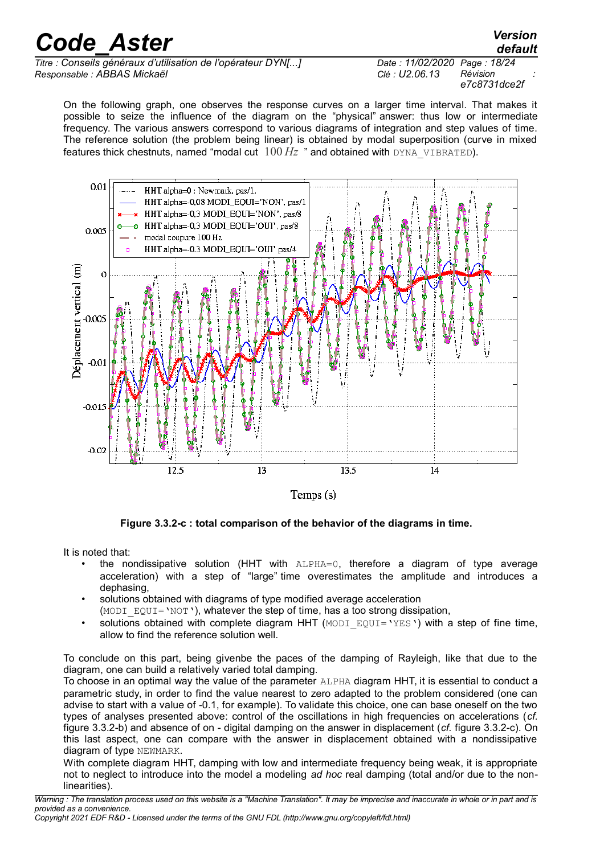*Titre : Conseils généraux d'utilisation de l'opérateur DYN[...] Date : 11/02/2020 Page : 18/24 Responsable : ABBAS Mickaël Clé : U2.06.13 Révision :*

*e7c8731dce2f*

*default*

On the following graph, one observes the response curves on a larger time interval. That makes it possible to seize the influence of the diagram on the "physical" answer: thus low or intermediate frequency. The various answers correspond to various diagrams of integration and step values of time. The reference solution (the problem being linear) is obtained by modal superposition (curve in mixed features thick chestnuts, named "modal cut  $100 \, Hz$ " and obtained with DYNA, VIBRATED).



Temps  $(s)$ 

<span id="page-17-0"></span>**Figure 3.3.2-c : total comparison of the behavior of the diagrams in time.**

It is noted that:

- the nondissipative solution (HHT with  $ALPHA=0$ , therefore a diagram of type average acceleration) with a step of "large" time overestimates the amplitude and introduces a dephasing,
- solutions obtained with diagrams of type modified average acceleration

(MODI EQUI='NOT'), whatever the step of time, has a too strong dissipation,

solutions obtained with complete diagram HHT (MODI  $EQUI=YES'$ ) with a step of fine time, allow to find the reference solution well.

To conclude on this part, being givenbe the paces of the damping of Rayleigh, like that due to the diagram, one can build a relatively varied total damping.

To choose in an optimal way the value of the parameter ALPHA diagram HHT, it is essential to conduct a parametric study, in order to find the value nearest to zero adapted to the problem considered (one can advise to start with a value of -0.1, for example). To validate this choice, one can base oneself on the two types of analyses presented above: control of the oscillations in high frequencies on accelerations (*cf.* figure [3.3.2-b\)](#page-16-0) and absence of on - digital damping on the answer in displacement (*cf.* figure [3.3.2-c\)](#page-17-0). On this last aspect, one can compare with the answer in displacement obtained with a nondissipative diagram of type NEWMARK.

With complete diagram HHT, damping with low and intermediate frequency being weak, it is appropriate not to neglect to introduce into the model a modeling *ad hoc* real damping (total and/or due to the nonlinearities).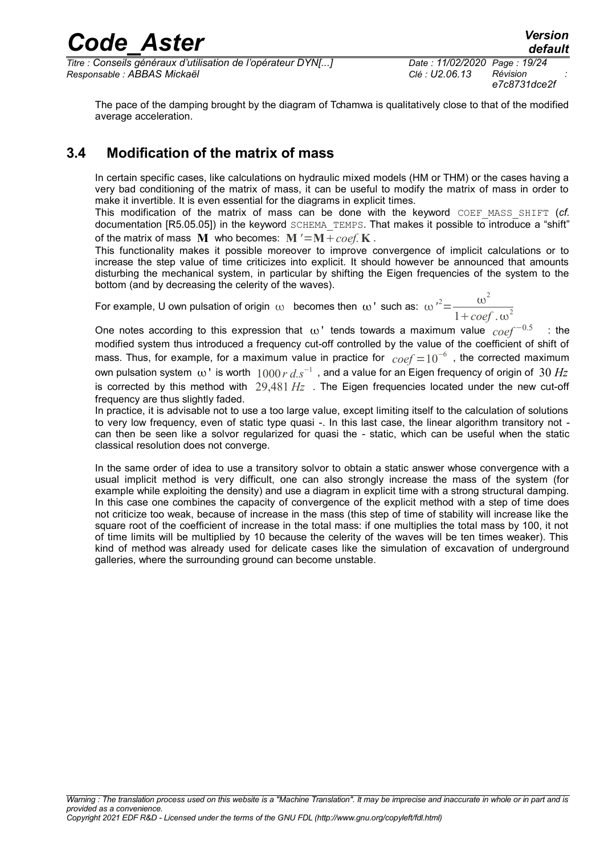*Titre : Conseils généraux d'utilisation de l'opérateur DYN[...] Date : 11/02/2020 Page : 19/24 Responsable : ABBAS Mickaël Clé : U2.06.13 Révision :*

The pace of the damping brought by the diagram of Tchamwa is qualitatively close to that of the modified average acceleration.

#### **3.4 Modification of the matrix of mass**

In certain specific cases, like calculations on hydraulic mixed models (HM or THM) or the cases having a very bad conditioning of the matrix of mass, it can be useful to modify the matrix of mass in order to make it invertible. It is even essential for the diagrams in explicit times.

This modification of the matrix of mass can be done with the keyword COEF MASS SHIFT (*cf.* documentation [R5.05.05]) in the keyword SCHEMA\_TEMPS. That makes it possible to introduce a "shift" of the matrix of mass  $M$  who becomes:  $M' = M + \cos f$ . K.

This functionality makes it possible moreover to improve convergence of implicit calculations or to increase the step value of time criticizes into explicit. It should however be announced that amounts disturbing the mechanical system, in particular by shifting the Eigen frequencies of the system to the bottom (and by decreasing the celerity of the waves).

For example, U own pulsation of origin  $\omega$  becomes then  $\omega$  ' such as:  $\omega'^2\!\!=\!\!-\frac{\omega^2}{2}$  $1 + \cos f \cdot \omega^2$ 

One notes according to this expression that  $\omega'$  tends towards a maximum value  $\cos t^{-0.5}$  : the modified system thus introduced a frequency cut-off controlled by the value of the coefficient of shift of mass. Thus, for example, for a maximum value in practice for  $\,coref=10^{-6}\,$  , the corrected maximum own pulsation system ω 'is worth  $\,1000\,r\,d.s^{-1}\,$  , and a value for an Eigen frequency of origin of  $\,30\,Hz$ is corrected by this method with 29,481 *Hz* . The Eigen frequencies located under the new cut-off frequency are thus slightly faded.

In practice, it is advisable not to use a too large value, except limiting itself to the calculation of solutions to very low frequency, even of static type quasi -. In this last case, the linear algorithm transitory not can then be seen like a solvor regularized for quasi the - static, which can be useful when the static classical resolution does not converge.

In the same order of idea to use a transitory solvor to obtain a static answer whose convergence with a usual implicit method is very difficult, one can also strongly increase the mass of the system (for example while exploiting the density) and use a diagram in explicit time with a strong structural damping. In this case one combines the capacity of convergence of the explicit method with a step of time does not criticize too weak, because of increase in the mass (this step of time of stability will increase like the square root of the coefficient of increase in the total mass: if one multiplies the total mass by 100, it not of time limits will be multiplied by 10 because the celerity of the waves will be ten times weaker). This kind of method was already used for delicate cases like the simulation of excavation of underground galleries, where the surrounding ground can become unstable.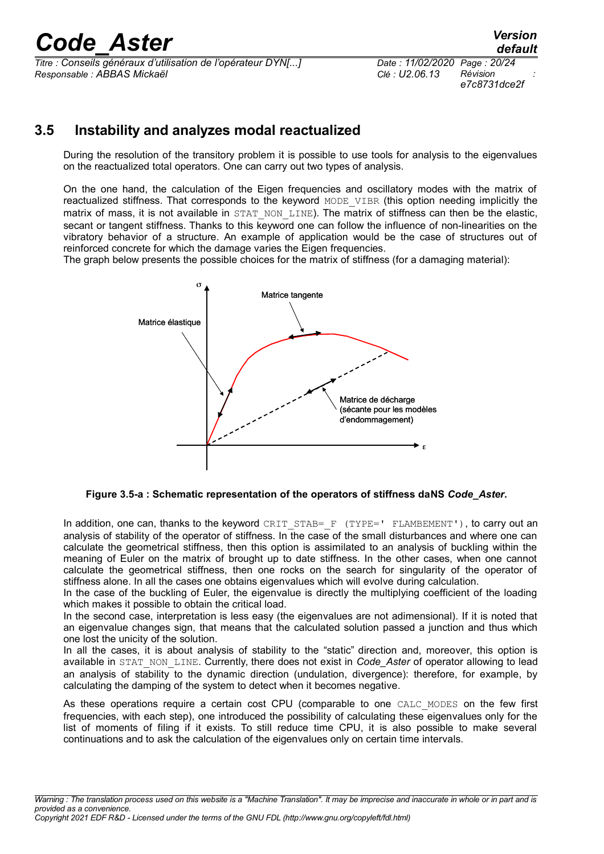*Titre : Conseils généraux d'utilisation de l'opérateur DYN[...] Date : 11/02/2020 Page : 20/24 Responsable : ABBAS Mickaël Clé : U2.06.13 Révision :*

*e7c8731dce2f*

#### **3.5 Instability and analyzes modal reactualized**

During the resolution of the transitory problem it is possible to use tools for analysis to the eigenvalues on the reactualized total operators. One can carry out two types of analysis.

On the one hand, the calculation of the Eigen frequencies and oscillatory modes with the matrix of reactualized stiffness. That corresponds to the keyword MODE VIBR (this option needing implicitly the matrix of mass, it is not available in STAT\_NON\_LINE). The matrix of stiffness can then be the elastic, secant or tangent stiffness. Thanks to this keyword one can follow the influence of non-linearities on the vibratory behavior of a structure. An example of application would be the case of structures out of reinforced concrete for which the damage varies the Eigen frequencies.

The graph below presents the possible choices for the matrix of stiffness (for a damaging material):



**Figure 3.5-a : Schematic representation of the operators of stiffness daNS** *Code\_Aster***.**

In addition, one can, thanks to the keyword CRIT\_STAB=  $F$  (TYPE=' FLAMBEMENT'), to carry out an analysis of stability of the operator of stiffness. In the case of the small disturbances and where one can calculate the geometrical stiffness, then this option is assimilated to an analysis of buckling within the meaning of Euler on the matrix of brought up to date stiffness. In the other cases, when one cannot calculate the geometrical stiffness, then one rocks on the search for singularity of the operator of stiffness alone. In all the cases one obtains eigenvalues which will evolve during calculation.

In the case of the buckling of Euler, the eigenvalue is directly the multiplying coefficient of the loading which makes it possible to obtain the critical load.

In the second case, interpretation is less easy (the eigenvalues are not adimensional). If it is noted that an eigenvalue changes sign, that means that the calculated solution passed a junction and thus which one lost the unicity of the solution.

In all the cases, it is about analysis of stability to the "static" direction and, moreover, this option is available in STAT\_NON\_LINE. Currently, there does not exist in *Code\_Aster* of operator allowing to lead an analysis of stability to the dynamic direction (undulation, divergence): therefore, for example, by calculating the damping of the system to detect when it becomes negative.

As these operations require a certain cost CPU (comparable to one CALC MODES on the few first frequencies, with each step), one introduced the possibility of calculating these eigenvalues only for the list of moments of filing if it exists. To still reduce time CPU, it is also possible to make several continuations and to ask the calculation of the eigenvalues only on certain time intervals.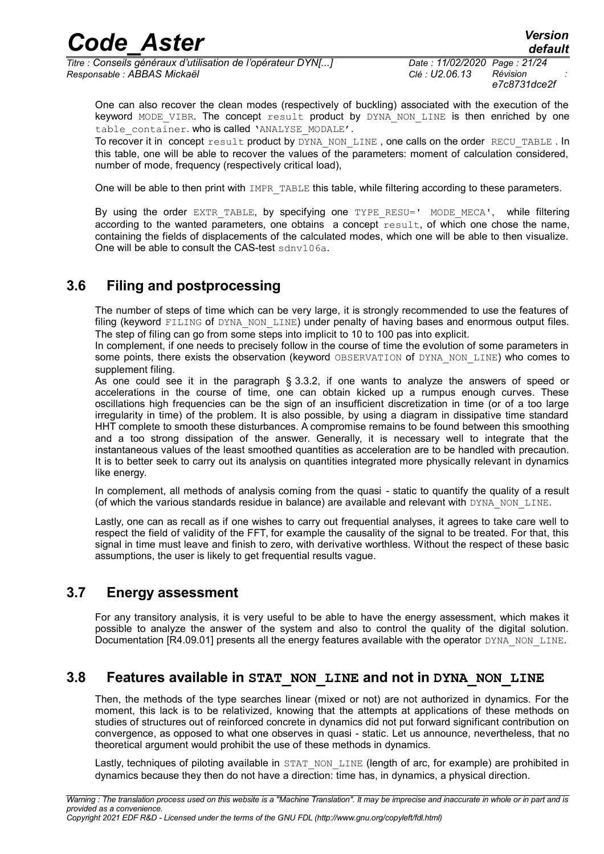*Titre : Conseils généraux d'utilisation de l'opérateur DYN[...] Date : 11/02/2020 Page : 21/24 Responsable : ABBAS Mickaël Clé : U2.06.13 Révision :*

One can also recover the clean modes (respectively of buckling) associated with the execution of the keyword MODE VIBR. The concept result product by DYNA NON LINE is then enriched by one table\_container. who is called 'ANALYSE\_MODALE'.

To recover it in concept result product by DYNA\_NON\_LINE, one calls on the order RECU\_TABLE . In this table, one will be able to recover the values of the parameters: moment of calculation considered, number of mode, frequency (respectively critical load),

One will be able to then print with IMPR TABLE this table, while filtering according to these parameters.

By using the order EXTR\_TABLE, by specifying one TYPE RESU=' MODE MECA', while filtering according to the wanted parameters, one obtains a concept  $\text{result}$ , of which one chose the name, containing the fields of displacements of the calculated modes, which one will be able to then visualize. One will be able to consult the CAS-test sdnv106a.

### **3.6 Filing and postprocessing**

The number of steps of time which can be very large, it is strongly recommended to use the features of filing (keyword FILING of DYNA NON LINE) under penalty of having bases and enormous output files. The step of filing can go from some steps into implicit to 10 to 100 pas into explicit.

In complement, if one needs to precisely follow in the course of time the evolution of some parameters in some points, there exists the observation (keyword OBSERVATION of DYNA\_NON\_LINE) who comes to supplement filing.

As one could see it in the paragraph § [3.3.2,](#page-14-0) if one wants to analyze the answers of speed or accelerations in the course of time, one can obtain kicked up a rumpus enough curves. These oscillations high frequencies can be the sign of an insufficient discretization in time (or of a too large irregularity in time) of the problem. It is also possible, by using a diagram in dissipative time standard HHT complete to smooth these disturbances. A compromise remains to be found between this smoothing and a too strong dissipation of the answer. Generally, it is necessary well to integrate that the instantaneous values of the least smoothed quantities as acceleration are to be handled with precaution. It is to better seek to carry out its analysis on quantities integrated more physically relevant in dynamics like energy.

In complement, all methods of analysis coming from the quasi - static to quantify the quality of a result (of which the various standards residue in balance) are available and relevant with DYNA\_NON\_LINE.

Lastly, one can as recall as if one wishes to carry out frequential analyses, it agrees to take care well to respect the field of validity of the FFT, for example the causality of the signal to be treated. For that, this signal in time must leave and finish to zero, with derivative worthless. Without the respect of these basic assumptions, the user is likely to get frequential results vague.

#### **3.7 Energy assessment**

For any transitory analysis, it is very useful to be able to have the energy assessment, which makes it possible to analyze the answer of the system and also to control the quality of the digital solution. Documentation [R4.09.01] presents all the energy features available with the operator DYNA\_NON\_LINE.

#### **3.8 Features available in STAT\_NON\_LINE and not in DYNA\_NON\_LINE**

Then, the methods of the type searches linear (mixed or not) are not authorized in dynamics. For the moment, this lack is to be relativized, knowing that the attempts at applications of these methods on studies of structures out of reinforced concrete in dynamics did not put forward significant contribution on convergence, as opposed to what one observes in quasi - static. Let us announce, nevertheless, that no theoretical argument would prohibit the use of these methods in dynamics.

Lastly, techniques of piloting available in STAT\_NON\_LINE (length of arc, for example) are prohibited in dynamics because they then do not have a direction: time has, in dynamics, a physical direction.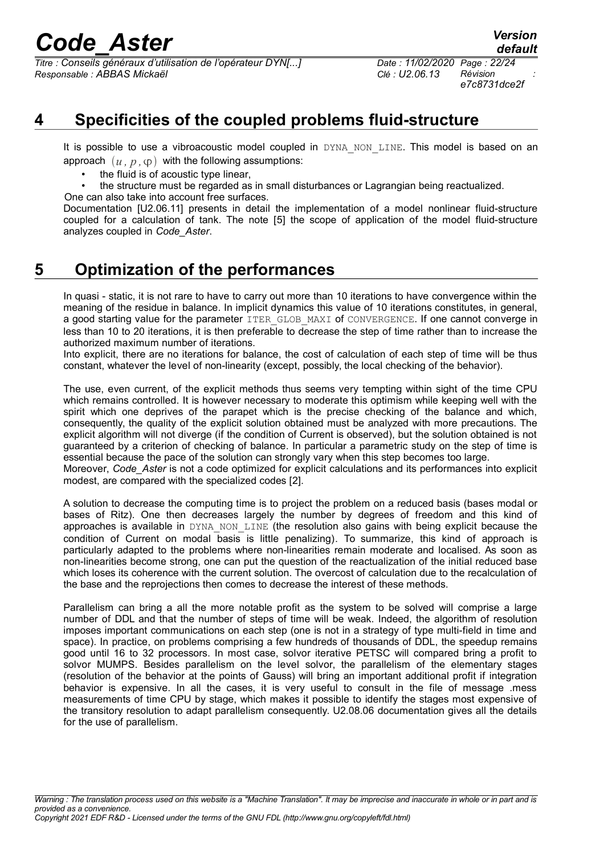*Titre : Conseils généraux d'utilisation de l'opérateur DYN[...] Date : 11/02/2020 Page : 22/24 Responsable : ABBAS Mickaël Clé : U2.06.13 Révision :*

*e7c8731dce2f*

*default*

### **4 Specificities of the coupled problems fluid-structure**

It is possible to use a vibroacoustic model coupled in DYNA NON LINE. This model is based on an approach  $(u, p, \varphi)$  with the following assumptions:

- the fluid is of acoustic type linear,
- the structure must be regarded as in small disturbances or Lagrangian being reactualized.

One can also take into account free surfaces.

Documentation [U2.06.11] presents in detail the implementation of a model nonlinear fluid-structure coupled for a calculation of tank. The note [\[5\]](#page-23-2) the scope of application of the model fluid-structure analyzes coupled in *Code\_Aster*.

### **5 Optimization of the performances**

In quasi - static, it is not rare to have to carry out more than 10 iterations to have convergence within the meaning of the residue in balance. In implicit dynamics this value of 10 iterations constitutes, in general, a good starting value for the parameter ITER GLOB MAXI of CONVERGENCE. If one cannot converge in less than 10 to 20 iterations, it is then preferable to decrease the step of time rather than to increase the authorized maximum number of iterations.

Into explicit, there are no iterations for balance, the cost of calculation of each step of time will be thus constant, whatever the level of non-linearity (except, possibly, the local checking of the behavior).

The use, even current, of the explicit methods thus seems very tempting within sight of the time CPU which remains controlled. It is however necessary to moderate this optimism while keeping well with the spirit which one deprives of the parapet which is the precise checking of the balance and which, consequently, the quality of the explicit solution obtained must be analyzed with more precautions. The explicit algorithm will not diverge (if the condition of Current is observed), but the solution obtained is not guaranteed by a criterion of checking of balance. In particular a parametric study on the step of time is essential because the pace of the solution can strongly vary when this step becomes too large.

Moreover, *Code\_Aster* is not a code optimized for explicit calculations and its performances into explicit modest, are compared with the specialized codes [\[2\]](#page-23-1).

A solution to decrease the computing time is to project the problem on a reduced basis (bases modal or bases of Ritz). One then decreases largely the number by degrees of freedom and this kind of approaches is available in DYNA\_NON\_LINE (the resolution also gains with being explicit because the condition of Current on modal basis is little penalizing). To summarize, this kind of approach is particularly adapted to the problems where non-linearities remain moderate and localised. As soon as non-linearities become strong, one can put the question of the reactualization of the initial reduced base which loses its coherence with the current solution. The overcost of calculation due to the recalculation of the base and the reprojections then comes to decrease the interest of these methods.

Parallelism can bring a all the more notable profit as the system to be solved will comprise a large number of DDL and that the number of steps of time will be weak. Indeed, the algorithm of resolution imposes important communications on each step (one is not in a strategy of type multi-field in time and space). In practice, on problems comprising a few hundreds of thousands of DDL, the speedup remains good until 16 to 32 processors. In most case, solvor iterative PETSC will compared bring a profit to solvor MUMPS. Besides parallelism on the level solvor, the parallelism of the elementary stages (resolution of the behavior at the points of Gauss) will bring an important additional profit if integration behavior is expensive. In all the cases, it is very useful to consult in the file of message .mess measurements of time CPU by stage, which makes it possible to identify the stages most expensive of the transitory resolution to adapt parallelism consequently. U2.08.06 documentation gives all the details for the use of parallelism.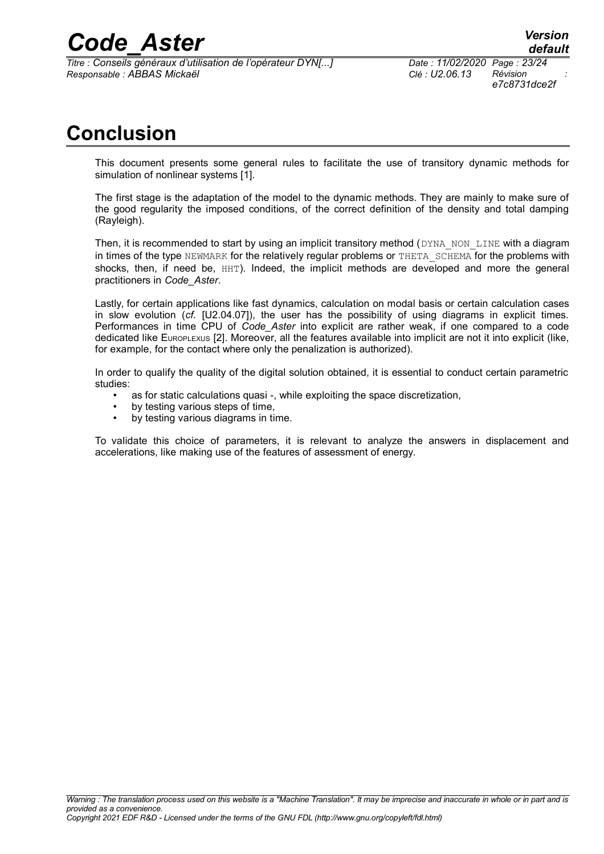*Titre : Conseils généraux d'utilisation de l'opérateur DYN[...] Date : 11/02/2020 Page : 23/24 Responsable : ABBAS Mickaël Clé : U2.06.13 Révision :*

### **Conclusion**

This document presents some general rules to facilitate the use of transitory dynamic methods for simulation of nonlinear systems [\[1\]](#page-23-3).

The first stage is the adaptation of the model to the dynamic methods. They are mainly to make sure of the good regularity the imposed conditions, of the correct definition of the density and total damping (Rayleigh).

Then, it is recommended to start by using an implicit transitory method  $(DYNA-NON-LINE with a diagram)$ in times of the type NEWMARK for the relatively regular problems or THETA\_SCHEMA for the problems with shocks, then, if need be, HHT). Indeed, the implicit methods are developed and more the general practitioners in *Code\_Aster*.

Lastly, for certain applications like fast dynamics, calculation on modal basis or certain calculation cases in slow evolution (*cf.* [U2.04.07]), the user has the possibility of using diagrams in explicit times. Performances in time CPU of *Code\_Aster* into explicit are rather weak, if one compared to a code dedicated like EUROPLEXUS [\[2\]](#page-23-1). Moreover, all the features available into implicit are not it into explicit (like, for example, for the contact where only the penalization is authorized).

In order to qualify the quality of the digital solution obtained, it is essential to conduct certain parametric studies:

- as for static calculations quasi -, while exploiting the space discretization,
- by testing various steps of time.
- by testing various diagrams in time.

To validate this choice of parameters, it is relevant to analyze the answers in displacement and accelerations, like making use of the features of assessment of energy.